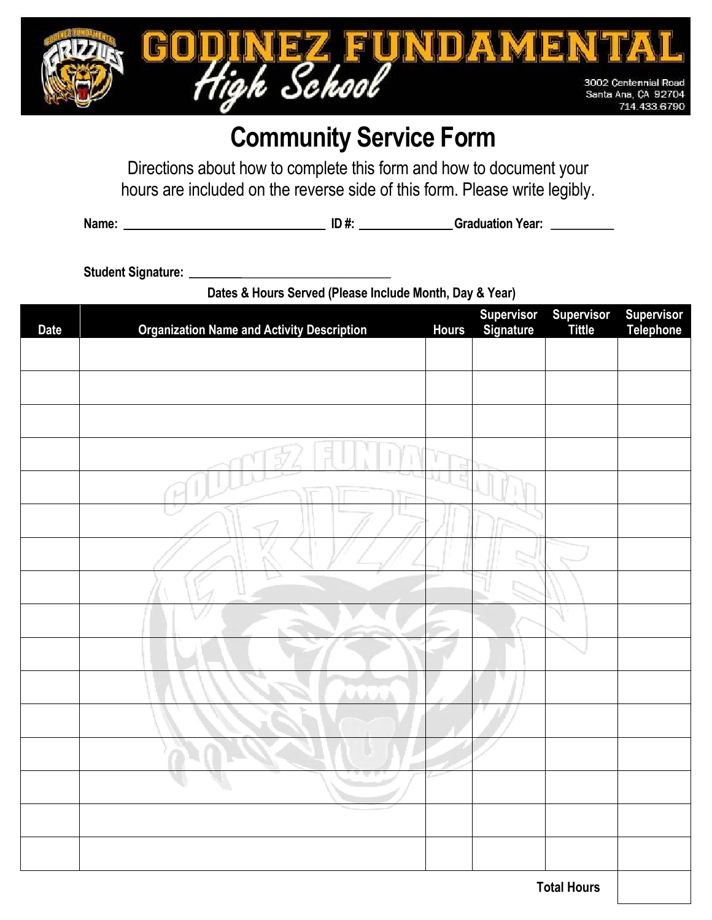

# **Community Service Form**

Directions about how to complete this form and how to document your hours are included on the reverse side of this form. Please write legibly.

**Name: \_\_\_\_\_\_\_\_\_\_\_\_\_\_\_\_\_\_\_\_\_\_\_\_\_\_\_\_\_\_\_\_\_ ID #: \_\_\_\_\_\_\_\_\_\_\_\_\_\_\_ Graduation Year: \_\_\_\_\_\_\_\_**

**Student Signature: \_\_\_\_\_\_\_\_\_\_\_\_\_\_\_\_\_\_\_\_\_\_\_\_\_\_\_\_\_\_\_\_\_\_\_\_\_\_\_\_\_\_\_\_\_\_\_\_\_\_\_\_\_\_\_\_\_\_\_\_\_\_\_\_\_\_\_**

**Dates & Hours Served (Please Include Month, Day & Year)**

| <b>Date</b> | <b>Organization Name and Activity Description</b> | <b>Hours</b> | <b>Supervisor</b><br>Signature | <b>Supervisor</b><br><b>Tittle</b> | <b>Supervisor</b><br>Telephone |
|-------------|---------------------------------------------------|--------------|--------------------------------|------------------------------------|--------------------------------|
|             |                                                   |              |                                |                                    |                                |
|             |                                                   |              |                                |                                    |                                |
|             |                                                   |              |                                |                                    |                                |
|             |                                                   |              |                                |                                    |                                |
|             |                                                   |              |                                |                                    |                                |
|             |                                                   |              |                                |                                    |                                |
|             |                                                   |              |                                |                                    |                                |
|             |                                                   |              |                                |                                    |                                |
|             |                                                   |              |                                |                                    |                                |
|             |                                                   |              |                                |                                    |                                |
|             | ă.<br>A.A.<br>上上                                  |              |                                |                                    |                                |
|             |                                                   |              |                                |                                    |                                |
|             |                                                   |              |                                |                                    |                                |
|             |                                                   |              |                                |                                    |                                |
|             |                                                   |              |                                |                                    |                                |
|             |                                                   |              |                                |                                    |                                |
|             | <b>Total Hours</b>                                |              |                                |                                    |                                |